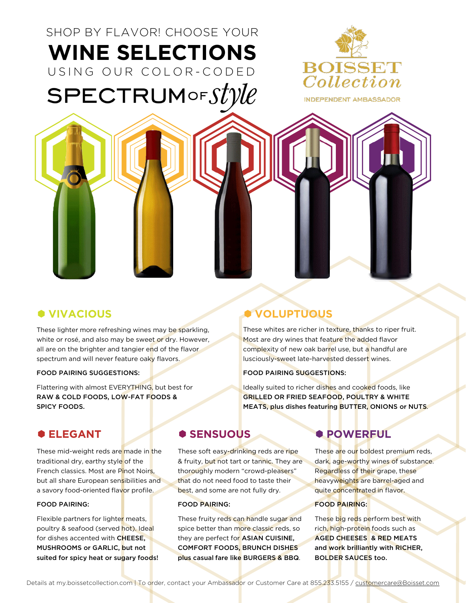# SHOP BY FLAVOR! CHOOSE YOUR **WINE SELECTIONS** USING OUR COLOR - CODED  $SPECTRUMorStV\ell\ell$



### **VIVACIOUS**

These lighter more refreshing wines may be sparkling, white or rosé, and also may be sweet or dry. However, all are on the brighter and tangier end of the flavor spectrum and will never feature oaky flavors.

#### FOOD PAIRING SUGGESTIONS:

Flattering with almost EVERYTHING, but best for RAW & COLD FOODS, LOW-FAT FOODS & SPICY FOODS.

### **ELEGANT**

These mid-weight reds are made in the traditional dry, earthy style of the French classics. Most are Pinot Noirs, but all share European sensibilities and a savory food-oriented flavor profile.

#### FOOD PAIRING:

Flexible partners for lighter meats, poultry & seafood (served hot). Ideal for dishes accented with CHEESE, MUSHROOMS or GARLIC, but not suited for spicy heat or sugary foods!

## **VOLUPTUOUS**

These whites are richer in texture, thanks to riper fruit. Most are dry wines that feature the added flavor complexity of new oak barrel use, but a handful are lusciously-sweet late-harvested dessert wines.

#### FOOD PAIRING SUGGESTIONS:

Ideally suited to richer dishes and cooked foods, like GRILLED OR FRIED SEAFOOD, POULTRY & WHITE MEATS, plus dishes featuring BUTTER, ONIONS or NUTS.

### **SENSUOUS**

These soft easy-drinking reds are ripe & fruity, but not tart or tannic. They are thoroughly modern "crowd-pleasers" that do not need food to taste their best, and some are not fully dry.

#### FOOD PAIRING:

These fruity reds can handle sugar and spice better than more classic reds, so they are perfect for ASIAN CUISINE, COMFORT FOODS, BRUNCH DISHES plus casual fare like BURGERS & BBQ.

## *<b>POWERFUL*

These are our boldest premium reds, dark, age-worthy wines of substance. Regardless of their grape, these heavyweights are barrel-aged and quite concentrated in flavor.

#### FOOD PAIRING:

These big reds perform best with rich, high-protein foods such as AGED CHEESES & RED MEATS and work brilliantly with RICHER, BOLDER SAUCES too.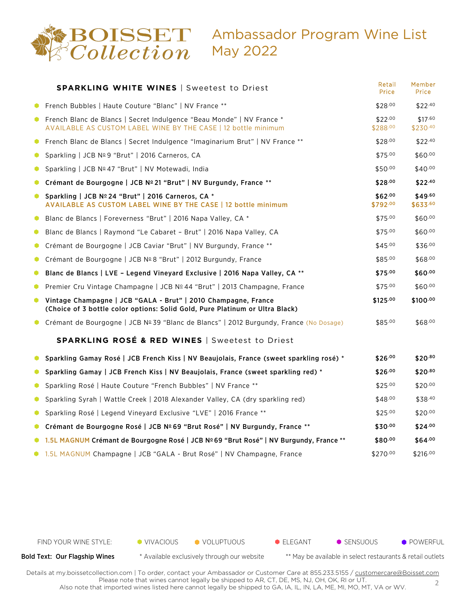

|             | <b>SPARKLING WHITE WINES   Sweetest to Driest</b>                                                                                                | Retail<br>Price     | Member<br>Price        |
|-------------|--------------------------------------------------------------------------------------------------------------------------------------------------|---------------------|------------------------|
|             | • French Bubbles   Haute Couture "Blanc"   NV France **                                                                                          | \$28.00             | $$22^{.40}$            |
|             | <b>C</b> French Blanc de Blancs   Secret Indulgence "Beau Monde"   NV France *<br>AVAILABLE AS CUSTOM LABEL WINE BY THE CASE   12 bottle minimum | \$22.00<br>\$288.00 | \$17.60<br>\$230.40    |
| $\bullet$   | French Blanc de Blancs   Secret Indulgence "Imaginarium Brut"   NV France **                                                                     | \$28.00             | $$22^{.40}$            |
| ۰           | Sparkling   JCB Nº9 "Brut"   2016 Carneros, CA                                                                                                   | \$75.00             | \$60.00                |
| ۰           | Sparkling   JCB Nº 47 "Brut"   NV Motewadi, India                                                                                                | \$50.00             | \$40.00                |
| 0           | Crémant de Bourgogne   JCB Nº 21 "Brut"   NV Burgundy, France **                                                                                 | \$28.00             | $$22^{.40}$            |
| $\bullet$   | Sparkling   JCB Nº 24 "Brut"   2016 Carneros, CA *<br>AVAILABLE AS CUSTOM LABEL WINE BY THE CASE   12 bottle minimum                             | \$62.00<br>\$792.00 | $$49^{60}$<br>\$633.60 |
| $\bullet$   | Blanc de Blancs   Foreverness "Brut"   2016 Napa Valley, CA *                                                                                    | \$75.00             | \$60.00                |
| 0           | Blanc de Blancs   Raymond "Le Cabaret - Brut"   2016 Napa Valley, CA                                                                             | \$75.00             | \$60.00                |
| $\bullet$   | Crémant de Bourgogne   JCB Caviar "Brut"   NV Burgundy, France **                                                                                | \$45.00             | \$36.00                |
| $\bullet$   | Crémant de Bourgogne   JCB Nº 8 "Brut"   2012 Burgundy, France                                                                                   | \$85.00             | \$68.00                |
| ۰           | Blanc de Blancs   LVE - Legend Vineyard Exclusive   2016 Napa Valley, CA **                                                                      | \$75.00             | \$60.00                |
| 0           | Premier Cru Vintage Champagne   JCB Nº 44 "Brut"   2013 Champagne, France                                                                        | \$75.00             | \$60.00                |
|             | • Vintage Champagne   JCB "GALA - Brut"   2010 Champagne, France<br>(Choice of 3 bottle color options: Solid Gold, Pure Platinum or Ultra Black) | \$125.00            | \$100.00               |
|             | ● Crémant de Bourgogne   JCB Nº 39 "Blanc de Blancs"   2012 Burgundy, France (No Dosage)                                                         | \$85.00             | \$68.00                |
|             | <b>SPARKLING ROSÉ &amp; RED WINES   Sweetest to Driest</b>                                                                                       |                     |                        |
| ۰           | Sparkling Gamay Rosé   JCB French Kiss   NV Beaujolais, France (sweet sparkling rosé) *                                                          | \$26.00             | \$20.80                |
| $\bullet$ . | Sparkling Gamay   JCB French Kiss   NV Beaujolais, France (sweet sparkling red) *                                                                | \$26.00             | \$20.80                |
| ۰           | Sparkling Rosé   Haute Couture "French Bubbles"   NV France **                                                                                   | \$25.00             | \$20.00                |
| ۰           | Sparkling Syrah   Wattle Creek   2018 Alexander Valley, CA (dry sparkling red)                                                                   | \$48.00             | \$38.40                |
| ۰           | Sparkling Rosé   Legend Vineyard Exclusive "LVE"   2016 France **                                                                                | \$25.00             | \$20.00                |
| $\bullet$   | Crémant de Bourgogne Rosé   JCB Nº69 "Brut Rosé"   NV Burgundy, France **                                                                        | \$30.00             | \$24.00                |
|             | ● 1.5L MAGNUM Crémant de Bourgogne Rosé   JCB Nº69 "Brut Rosé"   NV Burgundy, France **                                                          | \$80.00             | \$64.00                |
|             | 1.5L MAGNUM Champagne   JCB "GALA - Brut Rosé"   NV Champagne, France                                                                            | \$270.00            | \$216.00               |

FIND YOUR WINE STYLE:  $\bullet$  VIVACIOUS  $\bullet$  VOLUPTUOUS  $\bullet$  ELEGANT  $\bullet$  SENSUOUS  $\bullet$  POWERFUL

Bold Text: Our Flagship Wines \* Available exclusively through our website \*\* May be available in select restaurants & retail outlets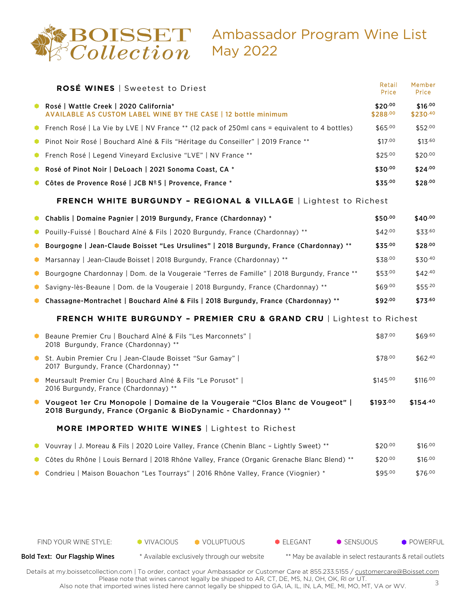

## Ambassador Program Wine List May 2022

|           | <b>ROSÉ WINES</b>   Sweetest to Driest                                                                                                         | Retail<br>Price     | Member<br>Price     |
|-----------|------------------------------------------------------------------------------------------------------------------------------------------------|---------------------|---------------------|
|           | Rosé   Wattle Creek   2020 California*<br><b>AVAILABLE AS CUSTOM LABEL WINE BY THE CASE   12 bottle minimum</b>                                | \$20.00<br>\$288.00 | \$16.00<br>\$230.40 |
| ۰         | French Rosé   La Vie by LVE   NV France ** (12 pack of 250ml cans = equivalent to 4 bottles)                                                   | \$65.00             | \$52.00             |
| $\bullet$ | Pinot Noir Rosé   Bouchard Aîné & Fils "Héritage du Conseiller"   2019 France **                                                               | \$17.00             | \$13.60             |
| $\bullet$ | French Rosé   Legend Vineyard Exclusive "LVE"   NV France **                                                                                   | \$25.00             | \$20.00             |
| $\bullet$ | Rosé of Pinot Noir   DeLoach   2021 Sonoma Coast, CA *                                                                                         | \$30.00             | \$24.00             |
|           | Côtes de Provence Rosé   JCB Nº 5   Provence, France *                                                                                         | \$35.00             | \$28.00             |
|           | <b>FRENCH WHITE BURGUNDY - REGIONAL &amp; VILLAGE   Lightest to Richest</b>                                                                    |                     |                     |
| 0         | Chablis   Domaine Pagnier   2019 Burgundy, France (Chardonnay) *                                                                               | \$50.00             | $$40^{.00}$         |
| $\bullet$ | Pouilly-Fuissé   Bouchard Aîné & Fils   2020 Burgundy, France (Chardonnay) **                                                                  | \$42.00             | \$33.60             |
| ۰         | Bourgogne   Jean-Claude Boisset "Les Ursulines"   2018 Burgundy, France (Chardonnay) **                                                        | \$35.00             | \$28.00             |
| ۰         | Marsannay   Jean-Claude Boisset   2018 Burgundy, France (Chardonnay) **                                                                        | \$38.00             | \$30.40             |
| 0         | Bourgogne Chardonnay   Dom. de la Vougeraie "Terres de Famille"   2018 Burgundy, France **                                                     | \$53.00             | \$42.40             |
| ۰         | Savigny-lès-Beaune   Dom. de la Vougeraie   2018 Burgundy, France (Chardonnay) **                                                              | \$69.00             | \$55.20             |
|           | Chassagne-Montrachet   Bouchard Aîné & Fils   2018 Burgundy, France (Chardonnay) **                                                            | \$92.00             | \$73.60             |
|           | <b>FRENCH WHITE BURGUNDY - PREMIER CRU &amp; GRAND CRU   Lightest to Richest</b>                                                               |                     |                     |
| ۰         | Beaune Premier Cru   Bouchard Aîné & Fils "Les Marconnets"  <br>2018 Burgundy, France (Chardonnay) **                                          | \$87.00             | \$69.60             |
|           | St. Aubin Premier Cru   Jean-Claude Boisset "Sur Gamay"  <br>2017 Burgundy, France (Chardonnay) **                                             | \$78.00             | \$62.40             |
|           | ● Meursault Premier Cru   Bouchard Aîné & Fils "Le Porusot"  <br>2016 Burgundy, France (Chardonnay) **                                         | \$145.00            | \$116.00            |
|           | O Vougeot 1er Cru Monopole   Domaine de la Vougeraie "Clos Blanc de Vougeot"  <br>2018 Burgundy, France (Organic & BioDynamic - Chardonnay) ** | \$193.00            | $$154^{.40}$        |
|           | <b>MORE IMPORTED WHITE WINES</b>   Lightest to Richest                                                                                         |                     |                     |
| 0         | Vouvray   J. Moreau & Fils   2020 Loire Valley, France (Chenin Blanc - Lightly Sweet) **                                                       | \$20.00             | \$16.00             |
|           | Côtes du Rhône   Louis Bernard   2018 Rhône Valley, France (Organic Grenache Blanc Blend) **                                                   | \$20.00             | \$16.00             |
|           | Condrieu   Maison Bouachon "Les Tourrays"   2016 Rhône Valley, France (Viognier) *                                                             | \$95.00             | \$76.00             |
|           |                                                                                                                                                |                     |                     |
|           |                                                                                                                                                |                     |                     |

FIND YOUR WINE STYLE:  $\bullet$  VIVACIOUS  $\bullet$  VOLUPTUOUS  $\bullet$  ELEGANT  $\bullet$  SENSUOUS  $\bullet$  POWERFUL Bold Text: Our Flagship Wines \* Available exclusively through our website \*\* May be available in select restaurants & retail outlets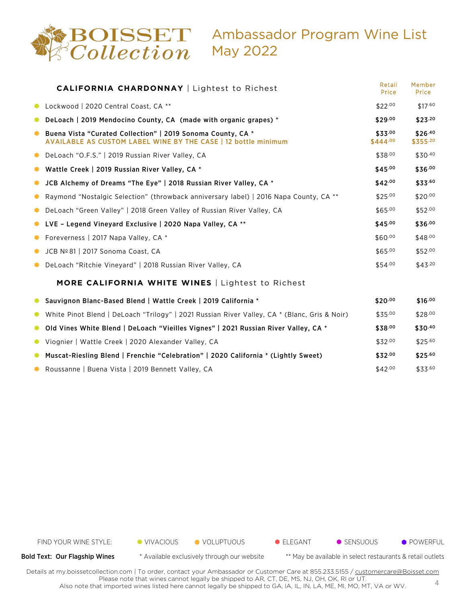

|           | <b>CALIFORNIA CHARDONNAY   Lightest to Richest</b>                                                                                   | Retail<br>Price     | Member<br>Price         |
|-----------|--------------------------------------------------------------------------------------------------------------------------------------|---------------------|-------------------------|
|           | Lockwood   2020 Central Coast, CA **                                                                                                 | \$22.00             | \$17.60                 |
|           | DeLoach   2019 Mendocino County, CA (made with organic grapes) *                                                                     | \$29.00             | \$23.20                 |
| ۰         | Buena Vista "Curated Collection"   2019 Sonoma County, CA *<br><b>AVAILABLE AS CUSTOM LABEL WINE BY THE CASE   12 bottle minimum</b> | \$33.00<br>\$444.00 | \$26.40<br>$$355^{.20}$ |
| ۰         | DeLoach "O.F.S."   2019 Russian River Valley, CA                                                                                     | \$38.00             | \$30.40                 |
|           | Wattle Creek   2019 Russian River Valley, CA *                                                                                       | \$45.00             | \$36.00                 |
|           | JCB Alchemy of Dreams "The Eye"   2018 Russian River Valley, CA *                                                                    | \$42.00             | \$33.60                 |
| ۰         | Raymond "Nostalgic Selection" (throwback anniversary label)   2016 Napa County, CA **                                                | \$25.00             | \$20.00                 |
| ۰         | DeLoach "Green Valley"   2018 Green Valley of Russian River Valley, CA                                                               | \$65.00             | \$52.00                 |
|           | LVE - Legend Vineyard Exclusive   2020 Napa Valley, CA **                                                                            | \$45.00             | \$36.00                 |
|           | Foreverness   2017 Napa Valley, CA *                                                                                                 | \$60.00             | \$48.00                 |
| ۰         | JCB Nº 81   2017 Sonoma Coast, CA                                                                                                    | \$65.00             | \$52.00                 |
| ۰         | DeLoach "Ritchie Vineyard"   2018 Russian River Valley, CA                                                                           | \$54.00             | \$43.20                 |
|           | <b>MORE CALIFORNIA WHITE WINES</b>   Lightest to Richest                                                                             |                     |                         |
|           | • Sauvignon Blanc-Based Blend   Wattle Creek   2019 California *                                                                     | \$20.00             | \$16.00                 |
| 0         | White Pinot Blend   DeLoach "Trilogy"   2021 Russian River Valley, CA * (Blanc, Gris & Noir)                                         | \$35.00             | \$28.00                 |
| $\bullet$ | Old Vines White Blend   DeLoach "Vieilles Vignes"   2021 Russian River Valley, CA *                                                  | \$38.00             | \$30.40                 |
| $\bullet$ | Viognier   Wattle Creek   2020 Alexander Valley, CA                                                                                  | \$32.00             | \$25.60                 |
|           | Muscat-Riesling Blend   Frenchie "Celebration"   2020 California * (Lightly Sweet)                                                   | \$32.00             | \$25.60                 |
|           | Roussanne   Buena Vista   2019 Bennett Valley, CA                                                                                    | \$42.00             | \$33.60                 |



Bold Text: Our Flagship Wines \* Available exclusively through our website \*\* May be available in select restaurants & retail outlets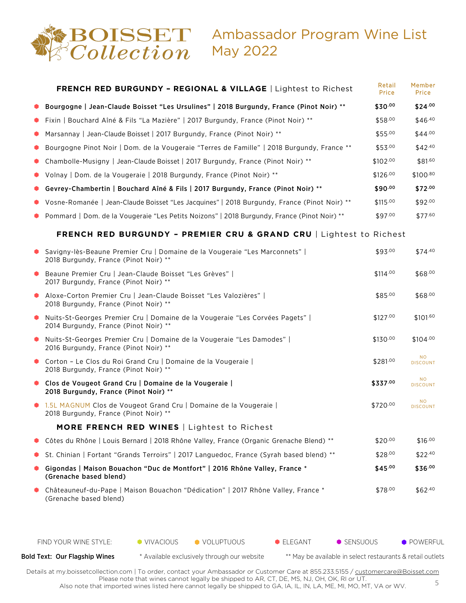

## Ambassador Program Wine List May 2022

|    | <b>FRENCH RED BURGUNDY - REGIONAL &amp; VILLAGE   Lightest to Richest</b>                                                | Retail<br>Price | Member<br>Price              |
|----|--------------------------------------------------------------------------------------------------------------------------|-----------------|------------------------------|
|    | Bourgogne   Jean-Claude Boisset "Les Ursulines"   2018 Burgundy, France (Pinot Noir) **                                  | \$30.00         | \$24.00                      |
|    | Fixin   Bouchard Aîné & Fils "La Mazière"   2017 Burgundy, France (Pinot Noir) **                                        | \$58.00         | \$46.40                      |
|    | Marsannay   Jean-Claude Boisset   2017 Burgundy, France (Pinot Noir) **                                                  | \$55.00         | $$44^{.00}$                  |
|    | Bourgogne Pinot Noir   Dom. de la Vougeraie "Terres de Famille"   2018 Burgundy, France **                               | \$53.00         | \$42.40                      |
|    | Chambolle-Musigny   Jean-Claude Boisset   2017 Burgundy, France (Pinot Noir) **                                          | \$102.00        | \$81.60                      |
|    | Volnay   Dom. de la Vougeraie   2018 Burgundy, France (Pinot Noir) **                                                    | \$126.00        | \$100.80                     |
|    | Gevrey-Chambertin   Bouchard Aîné & Fils   2017 Burgundy, France (Pinot Noir) **                                         | \$90.00         | \$72.00                      |
|    | Vosne-Romanée   Jean-Claude Boisset "Les Jacquines"   2018 Burgundy, France (Pinot Noir) **                              | \$115.00        | \$92.00                      |
|    | Pommard   Dom. de la Vougeraie "Les Petits Noizons"   2018 Burgundy, France (Pinot Noir) **                              | \$97.00         | \$77.60                      |
|    | <b>FRENCH RED BURGUNDY - PREMIER CRU &amp; GRAND CRU   Lightest to Richest</b>                                           |                 |                              |
|    | ● Savigny-lès-Beaune Premier Cru   Domaine de la Vougeraie "Les Marconnets"  <br>2018 Burgundy, France (Pinot Noir) **   | \$93.00         | \$74.40                      |
|    | • Beaune Premier Cru   Jean-Claude Boisset "Les Grèves"  <br>2017 Burgundy, France (Pinot Noir) **                       | \$114.00        | \$68.00                      |
| ۰  | Aloxe-Corton Premier Cru   Jean-Claude Boisset "Les Valozières"  <br>2018 Burgundy, France (Pinot Noir) **               | \$85.00         | \$68.00                      |
|    | ● Nuits-St-Georges Premier Cru   Domaine de la Vougeraie "Les Corvées Pagets"  <br>2014 Burgundy, France (Pinot Noir) ** | \$127.00        | \$101.60                     |
|    | ● Nuits-St-Georges Premier Cru   Domaine de la Vougeraie "Les Damodes"  <br>2016 Burgundy, France (Pinot Noir) **        | \$130.00        | \$104.00                     |
|    | Corton - Le Clos du Roi Grand Cru   Domaine de la Vougeraie  <br>2018 Burgundy, France (Pinot Noir) **                   | \$281.00        | <b>NO</b><br><b>DISCOUNT</b> |
|    | Clos de Vougeot Grand Cru   Domaine de la Vougeraie  <br>2018 Burgundy, France (Pinot Noir) **                           | \$337.00        | <b>NO</b><br><b>DISCOUNT</b> |
|    | • 1.5L MAGNUM Clos de Vougeot Grand Cru   Domaine de la Vougeraie  <br>2018 Burgundy, France (Pinot Noir) **             | \$720.00        | NO.<br><b>DISCOUNT</b>       |
|    | <b>MORE FRENCH RED WINES</b>   Lightest to Richest                                                                       |                 |                              |
| 0  | Côtes du Rhône   Louis Bernard   2018 Rhône Valley, France (Organic Grenache Blend) **                                   | \$20.00         | \$16.00                      |
| U. | St. Chinian   Fortant "Grands Terroirs"   2017 Languedoc, France (Syrah based blend) **                                  | \$28.00         | \$22.40                      |
|    | Gigondas   Maison Bouachon "Duc de Montfort"   2016 Rhône Valley, France *<br>(Grenache based blend)                     | \$45.00         | \$36.00                      |
|    | Châteauneuf-du-Pape   Maison Bouachon "Dédication"   2017 Rhône Valley, France *<br>(Grenache based blend)               | \$78.00         | \$62.40                      |
|    |                                                                                                                          |                 |                              |

FIND YOUR WINE STYLE:  $\bullet$  VIVACIOUS  $\bullet$  VOLUPTUOUS  $\bullet$  ELEGANT  $\bullet$  SENSUOUS  $\bullet$  POWERFUL

Bold Text: Our Flagship Wines \* Available exclusively through our website \*\* May be available in select restaurants & retail outlets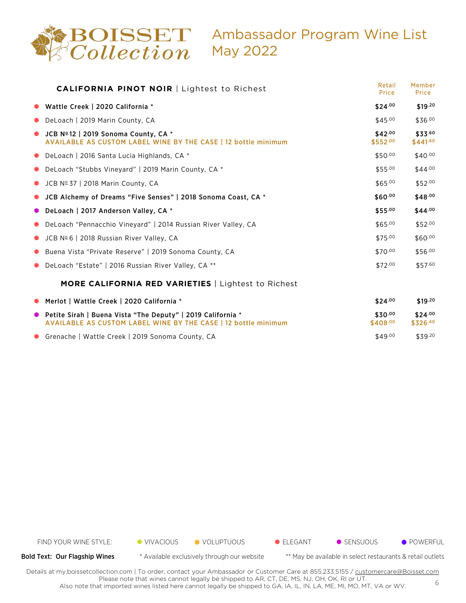

## Ambassador Program Wine List May 2022

| <b>CALIFORNIA PINOT NOIR   Lightest to Richest</b>                                                                     | Retail<br>Price             | Member<br>Price         |
|------------------------------------------------------------------------------------------------------------------------|-----------------------------|-------------------------|
| • Wattle Creek   2020 California *                                                                                     | $$24^{.00}$                 | \$19.20                 |
| • DeLoach   2019 Marin County, CA                                                                                      | \$45.00                     | \$36.00                 |
| $\bullet$ JCB Nº12   2019 Sonoma County, CA *<br><b>AVAILABLE AS CUSTOM LABEL WINE BY THE CASE   12 bottle minimum</b> | $$42^{.00}$<br>$$552^{.00}$ | \$33.60<br>$$441^{.60}$ |
| • DeLoach   2016 Santa Lucia Highlands, CA *                                                                           | \$50.00                     | $$40^{.00}$             |
| • DeLoach "Stubbs Vineyard"   2019 Marin County, CA *                                                                  | \$55.00                     | $$44^{.00}$             |
| $\bullet$ JCB Nº 37   2018 Marin County, CA                                                                            | \$65.00                     | $$52^{.00}$             |
| • JCB Alchemy of Dreams "Five Senses"   2018 Sonoma Coast, CA *                                                        | \$60.00                     | \$48.00                 |
| • DeLoach   2017 Anderson Valley, CA *                                                                                 | \$55.00                     | $$44^{.00}$             |
| • DeLoach "Pennacchio Vineyard"   2014 Russian River Valley, CA                                                        | \$65.00                     | $$52^{.00}$             |
| $\bullet$ JCB Nº 6   2018 Russian River Valley, CA                                                                     | \$75.00                     | \$60.00                 |
| ● Buena Vista "Private Reserve"   2019 Sonoma County, CA                                                               | \$70.00                     | \$56.00                 |
| • DeLoach "Estate"   2016 Russian River Valley, CA **                                                                  | \$72.00                     | \$57.60                 |
| <b>MORE CALIFORNIA RED VARIETIES</b>   Lightest to Richest                                                             |                             |                         |

| • Merlot   Wattle Creek   2020 California *                                                                                     | \$24.00             | \$19.20             |
|---------------------------------------------------------------------------------------------------------------------------------|---------------------|---------------------|
| ● Petite Sirah   Buena Vista "The Deputy"   2019 California *<br>AVAILABLE AS CUSTOM LABEL WINE BY THE CASE   12 bottle minimum | \$30.00<br>\$408.00 | \$24.00<br>\$326.40 |
| • Grenache   Wattle Creek   2019 Sonoma County, CA                                                                              | \$49.00             | \$39.20             |



Bold Text: Our Flagship Wines \* Available exclusively through our website \*\* May be available in select restaurants & retail outlets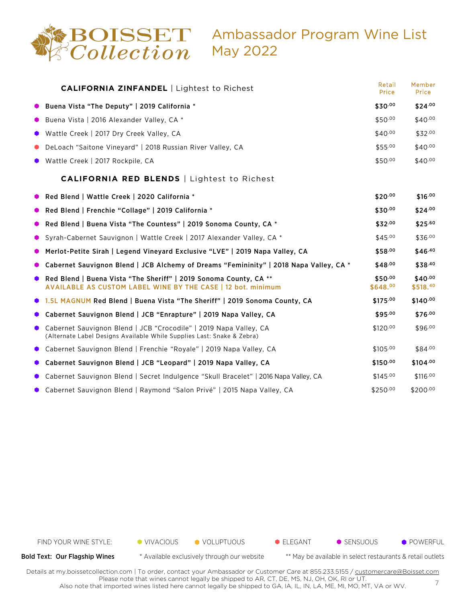

|           | <b>CALIFORNIA ZINFANDEL   Lightest to Richest</b>                                                                                           | Retail<br>Price     | Member<br>Price                     |
|-----------|---------------------------------------------------------------------------------------------------------------------------------------------|---------------------|-------------------------------------|
|           | Buena Vista "The Deputy"   2019 California *                                                                                                | \$30.00             | \$24.00                             |
|           | Buena Vista   2016 Alexander Valley, CA *                                                                                                   | \$50.00             | \$40.00                             |
|           | Wattle Creek   2017 Dry Creek Valley, CA                                                                                                    | \$40.00             | \$32.00                             |
|           | DeLoach "Saitone Vineyard"   2018 Russian River Valley, CA                                                                                  | \$55.00             | \$40.00                             |
|           | Wattle Creek   2017 Rockpile, CA                                                                                                            | \$50.00             | \$40.00                             |
|           | <b>CALIFORNIA RED BLENDS</b>   Lightest to Richest                                                                                          |                     |                                     |
|           | Red Blend   Wattle Creek   2020 California *                                                                                                | \$20.00             | \$16.00                             |
| υ.        | Red Blend   Frenchie "Collage"   2019 California *                                                                                          | \$30.00             | \$24.00                             |
| 0         | Red Blend   Buena Vista "The Countess"   2019 Sonoma County, CA *                                                                           | \$32.00             | \$25.60                             |
|           | Syrah-Cabernet Sauvignon   Wattle Creek   2017 Alexander Valley, CA *                                                                       | \$45.00             | \$36.00                             |
|           | Merlot-Petite Sirah   Legend Vineyard Exclusive "LVE"   2019 Napa Valley, CA                                                                | \$58.00             | \$46.40                             |
|           | Cabernet Sauvignon Blend   JCB Alchemy of Dreams "Femininity"   2018 Napa Valley, CA *                                                      | \$48.00             | \$38.40                             |
|           | Red Blend   Buena Vista "The Sheriff"   2019 Sonoma County, CA **<br><b>AVAILABLE AS CUSTOM LABEL WINE BY THE CASE   12 bot. minimum</b>    | \$50.00<br>\$648.00 | $$40^{.00}$<br>\$518. <sup>40</sup> |
|           | 1.5L MAGNUM Red Blend   Buena Vista "The Sheriff"   2019 Sonoma County, CA                                                                  | \$175.00            | \$140.00                            |
|           | Cabernet Sauvignon Blend   JCB "Enrapture"   2019 Napa Valley, CA                                                                           | \$95.00             | \$76.00                             |
| $\bullet$ | Cabernet Sauvignon Blend   JCB "Crocodile"   2019 Napa Valley, CA<br>(Alternate Label Designs Available While Supplies Last: Snake & Zebra) | \$120.00            | \$96.00                             |
| ۰         | Cabernet Sauvignon Blend   Frenchie "Royale"   2019 Napa Valley, CA                                                                         | \$105.00            | \$84.00                             |
|           | Cabernet Sauvignon Blend   JCB "Leopard"   2019 Napa Valley, CA                                                                             | \$150.00            | \$104.00                            |
|           | Cabernet Sauvignon Blend   Secret Indulgence "Skull Bracelet"   2016 Napa Valley, CA                                                        | \$145.00            | \$116.00                            |
|           | Cabernet Sauvignon Blend   Raymond "Salon Privé"   2015 Napa Valley, CA                                                                     | \$250.00            | $$200^{.00}$                        |



Bold Text: Our Flagship Wines \* Available exclusively through our website \*\* May be available in select restaurants & retail outlets